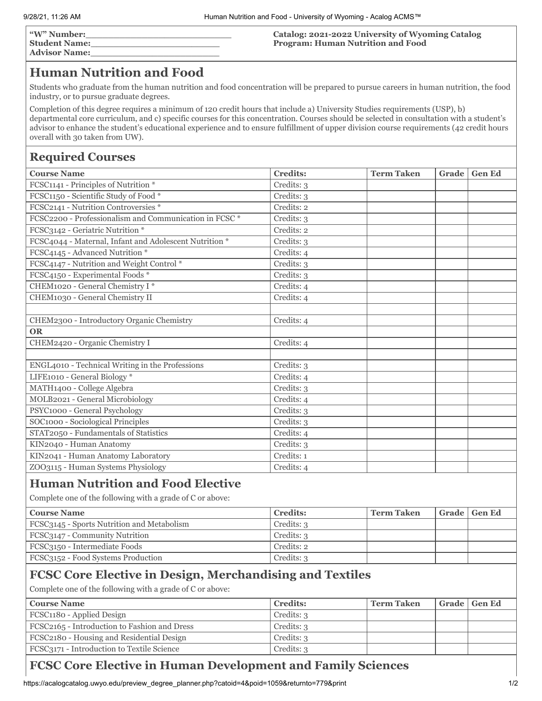| "W" Number:          |  |
|----------------------|--|
| <b>Student Name:</b> |  |
| <b>Advisor Name:</b> |  |

### **Catalog: 2021-2022 University of Wyoming Catalog Program: Human Nutrition and Food**

# **Human Nutrition and Food**

Students who graduate from the human nutrition and food concentration will be prepared to pursue careers in human nutrition, the food industry, or to pursue graduate degrees.

Completion of this degree requires a minimum of 120 credit hours that include a) University Studies requirements (USP), b) departmental core curriculum, and c) specific courses for this concentration. Courses should be selected in consultation with a student's advisor to enhance the student's educational experience and to ensure fulfillment of upper division course requirements (42 credit hours overall with 30 taken from UW).

# **Required Courses**

| <b>Course Name</b>                                     | <b>Credits:</b> | <b>Term Taken</b> | Grade | <b>Gen Ed</b> |
|--------------------------------------------------------|-----------------|-------------------|-------|---------------|
| FCSC1141 - Principles of Nutrition *                   | Credits: 3      |                   |       |               |
| FCSC1150 - Scientific Study of Food *                  | Credits: 3      |                   |       |               |
| FCSC2141 - Nutrition Controversies *                   | Credits: 2      |                   |       |               |
| FCSC2200 - Professionalism and Communication in FCSC * | Credits: 3      |                   |       |               |
| FCSC3142 - Geriatric Nutrition *                       | Credits: 2      |                   |       |               |
| FCSC4044 - Maternal, Infant and Adolescent Nutrition * | Credits: 3      |                   |       |               |
| FCSC4145 - Advanced Nutrition *                        | Credits: 4      |                   |       |               |
| FCSC4147 - Nutrition and Weight Control *              | Credits: 3      |                   |       |               |
| FCSC4150 - Experimental Foods *                        | Credits: 3      |                   |       |               |
| CHEM1020 - General Chemistry I*                        | Credits: 4      |                   |       |               |
| CHEM1030 - General Chemistry II                        | Credits: 4      |                   |       |               |
|                                                        |                 |                   |       |               |
| CHEM2300 - Introductory Organic Chemistry              | Credits: 4      |                   |       |               |
| <b>OR</b>                                              |                 |                   |       |               |
| CHEM2420 - Organic Chemistry I                         | Credits: 4      |                   |       |               |
|                                                        |                 |                   |       |               |
| ENGL4010 - Technical Writing in the Professions        | Credits: 3      |                   |       |               |
| LIFE1010 - General Biology *                           | Credits: 4      |                   |       |               |
| MATH1400 - College Algebra                             | Credits: 3      |                   |       |               |
| MOLB2021 - General Microbiology                        | Credits: 4      |                   |       |               |
| PSYC1000 - General Psychology                          | Credits: 3      |                   |       |               |
| SOC1000 - Sociological Principles                      | Credits: 3      |                   |       |               |
| STAT2050 - Fundamentals of Statistics                  | Credits: 4      |                   |       |               |
| KIN2040 - Human Anatomy                                | Credits: 3      |                   |       |               |
| KIN2041 - Human Anatomy Laboratory                     | Credits: 1      |                   |       |               |
| ZOO3115 - Human Systems Physiology                     | Credits: 4      |                   |       |               |
|                                                        |                 |                   |       |               |

# **Human Nutrition and Food Elective**

Complete one of the following with a grade of C or above:

| <b>Course Name</b>                         | <b>Credits:</b> | ' Term Taken | Grade   Gen Ed |
|--------------------------------------------|-----------------|--------------|----------------|
| FCSC3145 - Sports Nutrition and Metabolism | Credits: 3      |              |                |
| FCSC3147 - Community Nutrition             | Credits: 3      |              |                |
| FCSC3150 - Intermediate Foods              | Credits: 2      |              |                |
| FCSC3152 - Food Systems Production         | Credits: 3      |              |                |

## **FCSC Core Elective in Design, Merchandising and Textiles**

Complete one of the following with a grade of C or above:

| <b>Course Name</b>                           | <b>Credits:</b> | ' Term Taken | Grade   Gen Ed |
|----------------------------------------------|-----------------|--------------|----------------|
| FCSC1180 - Applied Design                    | Credits: 3      |              |                |
| FCSC2165 - Introduction to Fashion and Dress | Credits: 3      |              |                |
| FCSC2180 - Housing and Residential Design    | Credits: 3      |              |                |
| FCSC3171 - Introduction to Textile Science   | Credits: 3      |              |                |

# **FCSC Core Elective in Human Development and Family Sciences**

https://acalogcatalog.uwyo.edu/preview\_degree\_planner.php?catoid=4&poid=1059&returnto=779&print 1/2